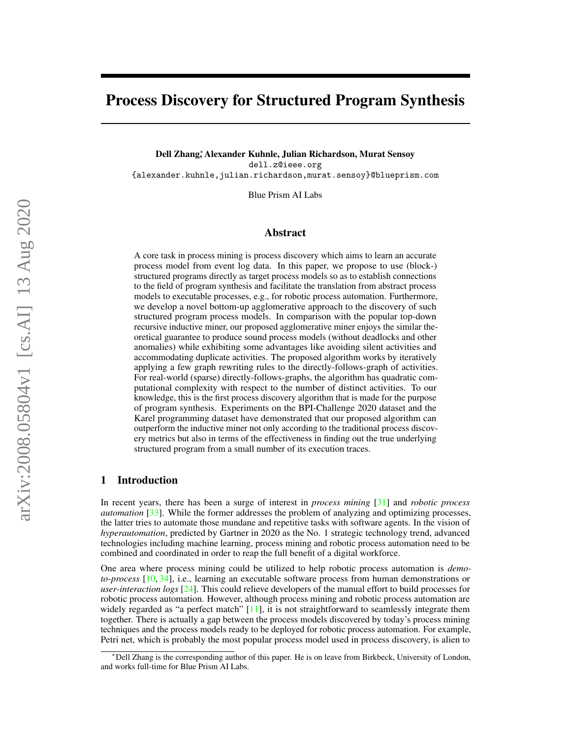# Process Discovery for Structured Program Synthesis

Dell Zhang<sup>∗</sup> , Alexander Kuhnle, Julian Richardson, Murat Sensoy dell.z@ieee.org {alexander.kuhnle,julian.richardson,murat.sensoy}@blueprism.com

Blue Prism AI Labs

### Abstract

A core task in process mining is process discovery which aims to learn an accurate process model from event log data. In this paper, we propose to use (block-) structured programs directly as target process models so as to establish connections to the field of program synthesis and facilitate the translation from abstract process models to executable processes, e.g., for robotic process automation. Furthermore, we develop a novel bottom-up agglomerative approach to the discovery of such structured program process models. In comparison with the popular top-down recursive inductive miner, our proposed agglomerative miner enjoys the similar theoretical guarantee to produce sound process models (without deadlocks and other anomalies) while exhibiting some advantages like avoiding silent activities and accommodating duplicate activities. The proposed algorithm works by iteratively applying a few graph rewriting rules to the directly-follows-graph of activities. For real-world (sparse) directly-follows-graphs, the algorithm has quadratic computational complexity with respect to the number of distinct activities. To our knowledge, this is the first process discovery algorithm that is made for the purpose of program synthesis. Experiments on the BPI-Challenge 2020 dataset and the Karel programming dataset have demonstrated that our proposed algorithm can outperform the inductive miner not only according to the traditional process discovery metrics but also in terms of the effectiveness in finding out the true underlying structured program from a small number of its execution traces.

#### 1 Introduction

In recent years, there has been a surge of interest in *process mining* [\[31\]](#page-12-0) and *robotic process automation* [\[33\]](#page-12-1). While the former addresses the problem of analyzing and optimizing processes, the latter tries to automate those mundane and repetitive tasks with software agents. In the vision of *hyperautomation*, predicted by Gartner in 2020 as the No. 1 strategic technology trend, advanced technologies including machine learning, process mining and robotic process automation need to be combined and coordinated in order to reap the full benefit of a digital workforce.

One area where process mining could be utilized to help robotic process automation is *demoto-process* [\[10,](#page-11-0) [34\]](#page-12-2), i.e., learning an executable software process from human demonstrations or *user-interaction logs* [\[24\]](#page-12-3). This could relieve developers of the manual effort to build processes for robotic process automation. However, although process mining and robotic process automation are widely regarded as "a perfect match" [\[11\]](#page-11-1), it is not straightforward to seamlessly integrate them together. There is actually a gap between the process models discovered by today's process mining techniques and the process models ready to be deployed for robotic process automation. For example, Petri net, which is probably the most popular process model used in process discovery, is alien to

<sup>∗</sup>Dell Zhang is the corresponding author of this paper. He is on leave from Birkbeck, University of London, and works full-time for Blue Prism AI Labs.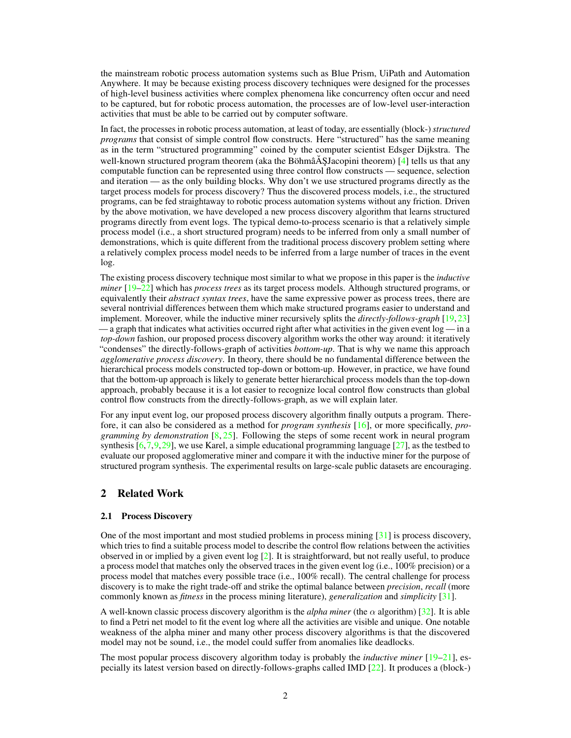the mainstream robotic process automation systems such as Blue Prism, UiPath and Automation Anywhere. It may be because existing process discovery techniques were designed for the processes of high-level business activities where complex phenomena like concurrency often occur and need to be captured, but for robotic process automation, the processes are of low-level user-interaction activities that must be able to be carried out by computer software.

In fact, the processes in robotic process automation, at least of today, are essentially (block-) *structured programs* that consist of simple control flow constructs. Here "structured" has the same meaning as in the term "structured programming" coined by the computer scientist Edsger Dijkstra. The well-known structured program theorem (aka the Böhmâ $\tilde{A}$ SJacopini theorem) [[4\]](#page-11-2) tells us that any computable function can be represented using three control flow constructs — sequence, selection and iteration — as the only building blocks. Why don't we use structured programs directly as the target process models for process discovery? Thus the discovered process models, i.e., the structured programs, can be fed straightaway to robotic process automation systems without any friction. Driven by the above motivation, we have developed a new process discovery algorithm that learns structured programs directly from event logs. The typical demo-to-process scenario is that a relatively simple process model (i.e., a short structured program) needs to be inferred from only a small number of demonstrations, which is quite different from the traditional process discovery problem setting where a relatively complex process model needs to be inferred from a large number of traces in the event log.

The existing process discovery technique most similar to what we propose in this paper is the *inductive miner* [\[19](#page-11-3)[–22\]](#page-11-4) which has *process trees* as its target process models. Although structured programs, or equivalently their *abstract syntax trees*, have the same expressive power as process trees, there are several nontrivial differences between them which make structured programs easier to understand and implement. Moreover, while the inductive miner recursively splits the *directly-follows-graph* [\[19,](#page-11-3) [23\]](#page-12-4)  $-$  a graph that indicates what activities occurred right after what activities in the given event  $log$   $-$  in a *top-down* fashion, our proposed process discovery algorithm works the other way around: it iteratively "condenses" the directly-follows-graph of activities *bottom-up*. That is why we name this approach *agglomerative process discovery*. In theory, there should be no fundamental difference between the hierarchical process models constructed top-down or bottom-up. However, in practice, we have found that the bottom-up approach is likely to generate better hierarchical process models than the top-down approach, probably because it is a lot easier to recognize local control flow constructs than global control flow constructs from the directly-follows-graph, as we will explain later.

For any input event log, our proposed process discovery algorithm finally outputs a program. Therefore, it can also be considered as a method for *program synthesis* [\[16\]](#page-11-5), or more specifically, *programming by demonstration* [\[8,](#page-11-6) [25\]](#page-12-5). Following the steps of some recent work in neural program synthesis  $[6,7,9,29]$  $[6,7,9,29]$  $[6,7,9,29]$  $[6,7,9,29]$ , we use Karel, a simple educational programming language  $[27]$ , as the testbed to evaluate our proposed agglomerative miner and compare it with the inductive miner for the purpose of structured program synthesis. The experimental results on large-scale public datasets are encouraging.

## 2 Related Work

#### 2.1 Process Discovery

One of the most important and most studied problems in process mining [\[31\]](#page-12-0) is process discovery, which tries to find a suitable process model to describe the control flow relations between the activities observed in or implied by a given event log [\[2\]](#page-11-10). It is straightforward, but not really useful, to produce a process model that matches only the observed traces in the given event log (i.e., 100% precision) or a process model that matches every possible trace (i.e., 100% recall). The central challenge for process discovery is to make the right trade-off and strike the optimal balance between *precision*, *recall* (more commonly known as *fitness* in the process mining literature), *generalization* and *simplicity* [\[31\]](#page-12-0).

A well-known classic process discovery algorithm is the *alpha miner* (the  $\alpha$  algorithm) [\[32\]](#page-12-8). It is able to find a Petri net model to fit the event log where all the activities are visible and unique. One notable weakness of the alpha miner and many other process discovery algorithms is that the discovered model may not be sound, i.e., the model could suffer from anomalies like deadlocks.

The most popular process discovery algorithm today is probably the *inductive miner* [\[19–](#page-11-3)[21\]](#page-11-11), especially its latest version based on directly-follows-graphs called IMD [\[22\]](#page-11-4). It produces a (block-)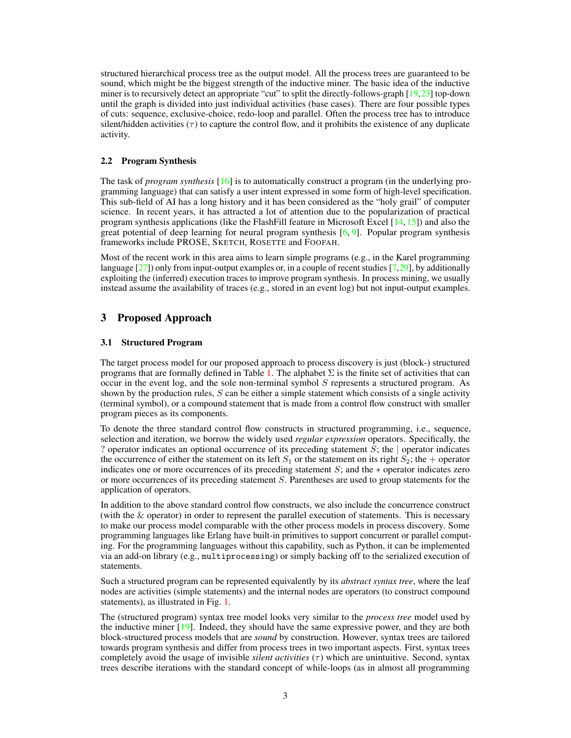structured hierarchical process tree as the output model. All the process trees are guaranteed to be sound, which might be the biggest strength of the inductive miner. The basic idea of the inductive miner is to recursively detect an appropriate "cut" to split the directly-follows-graph [\[19,](#page-11-3)[23\]](#page-12-4) top-down until the graph is divided into just individual activities (base cases). There are four possible types of cuts: sequence, exclusive-choice, redo-loop and parallel. Often the process tree has to introduce silent/hidden activities  $(\tau)$  to capture the control flow, and it prohibits the existence of any duplicate activity.

#### 2.2 Program Synthesis

The task of *program synthesis* [\[16\]](#page-11-5) is to automatically construct a program (in the underlying programming language) that can satisfy a user intent expressed in some form of high-level specification. This sub-field of AI has a long history and it has been considered as the "holy grail" of computer science. In recent years, it has attracted a lot of attention due to the popularization of practical program synthesis applications (like the FlashFill feature in Microsoft Excel  $[14, 15]$  $[14, 15]$  $[14, 15]$ ) and also the great potential of deep learning for neural program synthesis  $[6, 9]$  $[6, 9]$  $[6, 9]$ . Popular program synthesis frameworks include PROSE, SKETCH, ROSETTE and FOOFAH.

Most of the recent work in this area aims to learn simple programs (e.g., in the Karel programming language  $[27]$ ) only from input-output examples or, in a couple of recent studies  $[7,29]$  $[7,29]$ , by additionally exploiting the (inferred) execution traces to improve program synthesis. In process mining, we usually instead assume the availability of traces (e.g., stored in an event log) but not input-output examples.

# 3 Proposed Approach

#### <span id="page-2-0"></span>3.1 Structured Program

The target process model for our proposed approach to process discovery is just (block-) structured programs that are formally defined in Table [1.](#page-3-0) The alphabet  $\Sigma$  is the finite set of activities that can occur in the event log, and the sole non-terminal symbol  $S$  represents a structured program. As shown by the production rules,  $S$  can be either a simple statement which consists of a single activity (terminal symbol), or a compound statement that is made from a control flow construct with smaller program pieces as its components.

To denote the three standard control flow constructs in structured programming, i.e., sequence, selection and iteration, we borrow the widely used *regular expression* operators. Specifically, the ? operator indicates an optional occurrence of its preceding statement  $S$ ; the  $\vert$  operator indicates the occurrence of either the statement on its left  $S_1$  or the statement on its right  $S_2$ ; the + operator indicates one or more occurrences of its preceding statement  $S$ ; and the  $*$  operator indicates zero or more occurrences of its preceding statement S. Parentheses are used to group statements for the application of operators.

In addition to the above standard control flow constructs, we also include the concurrence construct (with the & operator) in order to represent the parallel execution of statements. This is necessary to make our process model comparable with the other process models in process discovery. Some programming languages like Erlang have built-in primitives to support concurrent or parallel computing. For the programming languages without this capability, such as Python, it can be implemented via an add-on library (e.g., multiprocessing) or simply backing off to the serialized execution of statements.

Such a structured program can be represented equivalently by its *abstract syntax tree*, where the leaf nodes are activities (simple statements) and the internal nodes are operators (to construct compound statements), as illustrated in Fig. [1.](#page-3-1)

The (structured program) syntax tree model looks very similar to the *process tree* model used by the inductive miner [\[19\]](#page-11-3). Indeed, they should have the same expressive power, and they are both block-structured process models that are *sound* by construction. However, syntax trees are tailored towards program synthesis and differ from process trees in two important aspects. First, syntax trees completely avoid the usage of invisible *silent activities*  $(\tau)$  which are unintuitive. Second, syntax trees describe iterations with the standard concept of while-loops (as in almost all programming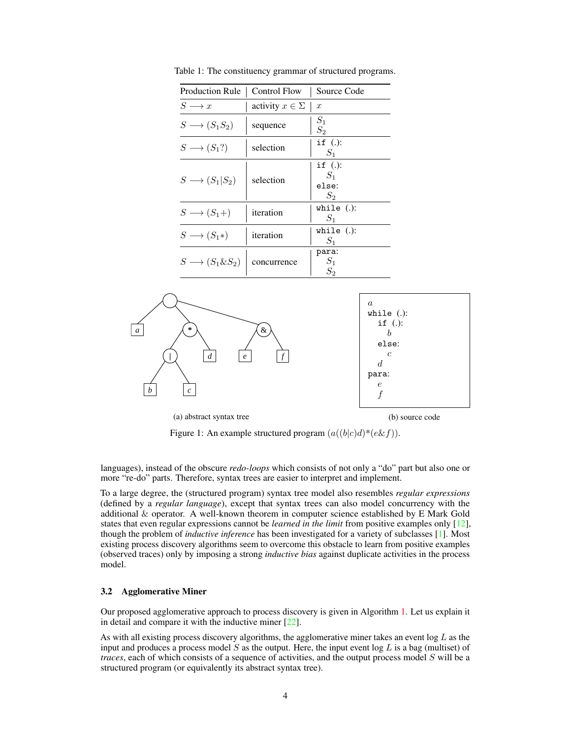| Production Rule                  | Control Flow            | Source Code                           |
|----------------------------------|-------------------------|---------------------------------------|
| $S \longrightarrow x$            | activity $x \in \Sigma$ | $\boldsymbol{x}$                      |
| $S \longrightarrow (S_1S_2)$     | sequence                | $S_1$<br>$S_2$                        |
| $S \longrightarrow (S_1?)$       | selection               | if $(.)$ :<br>$S_1$                   |
| $S \longrightarrow (S_1 S_2)$    | selection               | if $(.)$ :<br>$S_1$<br>else:<br>$S_2$ |
| $S \longrightarrow (S_1 + )$     | iteration               | while $(.)$ :<br>$S_1$                |
| $S \longrightarrow (S_1*)$       | iteration               | while $(.)$ :<br>$S_1$                |
| $S \longrightarrow (S_1 \& S_2)$ | concurrence             | para:<br>$S_1$<br>S,                  |

<span id="page-3-0"></span>Table 1: The constituency grammar of structured programs.

<span id="page-3-1"></span>

Figure 1: An example structured program  $(a((b|c)d)*(e \& f))$ .

languages), instead of the obscure *redo-loops* which consists of not only a "do" part but also one or more "re-do" parts. Therefore, syntax trees are easier to interpret and implement.

To a large degree, the (structured program) syntax tree model also resembles *regular expressions* (defined by a *regular language*), except that syntax trees can also model concurrency with the additional & operator. A well-known theorem in computer science established by E Mark Gold states that even regular expressions cannot be *learned in the limit* from positive examples only [\[12\]](#page-11-14), though the problem of *inductive inference* has been investigated for a variety of subclasses [\[1\]](#page-11-15). Most existing process discovery algorithms seem to overcome this obstacle to learn from positive examples (observed traces) only by imposing a strong *inductive bias* against duplicate activities in the process model.

#### 3.2 Agglomerative Miner

Our proposed agglomerative approach to process discovery is given in Algorithm [1.](#page-4-0) Let us explain it in detail and compare it with the inductive miner  $[22]$ .

As with all existing process discovery algorithms, the agglomerative miner takes an event log  $L$  as the input and produces a process model  $S$  as the output. Here, the input event log  $L$  is a bag (multiset) of *traces*, each of which consists of a sequence of activities, and the output process model S will be a structured program (or equivalently its abstract syntax tree).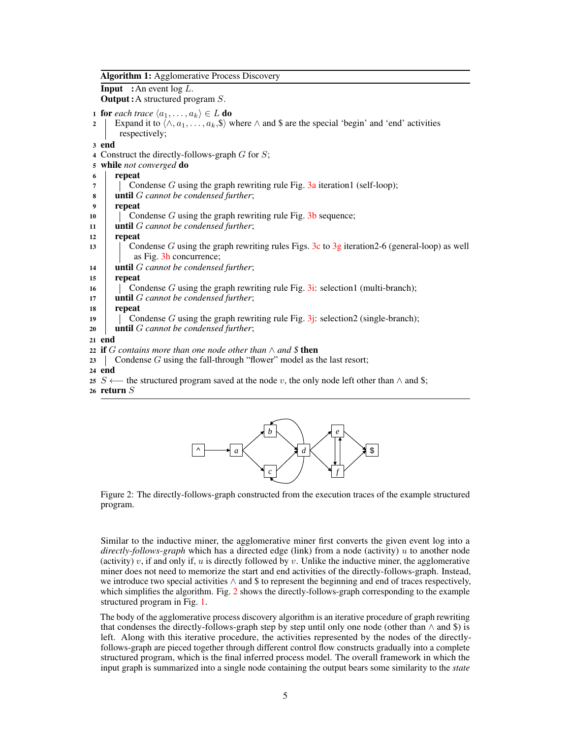| <b>Algorithm 1:</b> Agglomerative Process Discovery |  |
|-----------------------------------------------------|--|
|                                                     |  |

#### **Input** : An event  $\log L$ .

Output :A structured program S.

- 1 **for** each trace  $\langle a_1, \ldots, a_k \rangle \in L$  **do**
- 2 Expand it to  $\langle \wedge, a_1, \ldots, a_k, \S \rangle$  where  $\wedge$  and \$ are the special 'begin' and 'end' activities respectively;

3 end

- 4 Construct the directly-follows-graph  $G$  for  $S$ ;
- <sup>5</sup> while *not converged* do
- 6 repeat
- 7 | Condense G using the graph rewriting rule Fig. [3a](#page-5-0) iteration1 (self-loop);
- <sup>8</sup> until G *cannot be condensed further*;
- 9 repeat
- 10  $\parallel$  Condense G using the graph rewriting rule Fig. [3b](#page-5-0) sequence;
- <sup>11</sup> until G *cannot be condensed further*;

#### 12 repeat

- 13 Condense G using the graph rewriting rules Figs. [3c](#page-5-0) to [3g](#page-5-0) iteration 2-6 (general-loop) as well as Fig. [3h](#page-5-0) concurrence;
- <sup>14</sup> until G *cannot be condensed further*;

15 repeat

- 16 Condense G using the graph rewriting rule Fig. [3i:](#page-5-0) selection1 (multi-branch);
- <sup>17</sup> until G *cannot be condensed further*;
- 18 repeat
- 19 Condense G using the graph rewriting rule Fig.  $3j$ : selection 2 (single-branch);
- <sup>20</sup> until G *cannot be condensed further*;

21 end

- <sup>22</sup> if G *contains more than one node other than* ∧ *and \$* then
- 23 Condense G using the fall-through "flower" model as the last resort;
- 24 end
- 25 S ← the structured program saved at the node v, the only node left other than  $\land$  and \$;
- <span id="page-4-1"></span><span id="page-4-0"></span>26 return  $S$



Figure 2: The directly-follows-graph constructed from the execution traces of the example structured program.

Similar to the inductive miner, the agglomerative miner first converts the given event log into a *directly-follows-graph* which has a directed edge (link) from a node (activity) u to another node (activity)  $v$ , if and only if,  $u$  is directly followed by  $v$ . Unlike the inductive miner, the agglomerative miner does not need to memorize the start and end activities of the directly-follows-graph. Instead, we introduce two special activities  $\land$  and \$ to represent the beginning and end of traces respectively, which simplifies the algorithm. Fig. [2](#page-4-1) shows the directly-follows-graph corresponding to the example structured program in Fig. [1.](#page-3-1)

The body of the agglomerative process discovery algorithm is an iterative procedure of graph rewriting that condenses the directly-follows-graph step by step until only one node (other than  $\land$  and  $\$$ ) is left. Along with this iterative procedure, the activities represented by the nodes of the directlyfollows-graph are pieced together through different control flow constructs gradually into a complete structured program, which is the final inferred process model. The overall framework in which the input graph is summarized into a single node containing the output bears some similarity to the *state*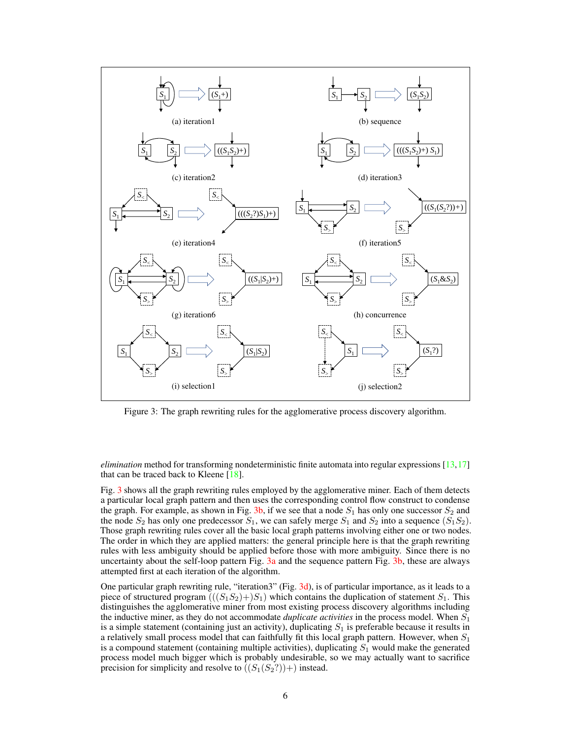<span id="page-5-0"></span>

Figure 3: The graph rewriting rules for the agglomerative process discovery algorithm.

*elimination* method for transforming nondeterministic finite automata into regular expressions [\[13,](#page-11-16)[17\]](#page-11-17) that can be traced back to Kleene  $[18]$ .

Fig. [3](#page-5-0) shows all the graph rewriting rules employed by the agglomerative miner. Each of them detects a particular local graph pattern and then uses the corresponding control flow construct to condense the graph. For example, as shown in Fig. [3b,](#page-5-0) if we see that a node  $S_1$  has only one successor  $S_2$  and the node  $S_2$  has only one predecessor  $S_1$ , we can safely merge  $S_1$  and  $S_2$  into a sequence  $(S_1S_2)$ . Those graph rewriting rules cover all the basic local graph patterns involving either one or two nodes. The order in which they are applied matters: the general principle here is that the graph rewriting rules with less ambiguity should be applied before those with more ambiguity. Since there is no uncertainty about the self-loop pattern Fig.  $3a$  and the sequence pattern Fig.  $3b$ , these are always attempted first at each iteration of the algorithm.

One particular graph rewriting rule, "iteration3" (Fig. [3d\)](#page-5-0), is of particular importance, as it leads to a piece of structured program  $(((S_1S_2)+)S_1)$  which contains the duplication of statement  $S_1$ . This distinguishes the agglomerative miner from most existing process discovery algorithms including the inductive miner, as they do not accommodate *duplicate activities* in the process model. When  $S_1$ is a simple statement (containing just an activity), duplicating  $S_1$  is preferable because it results in a relatively small process model that can faithfully fit this local graph pattern. However, when  $S_1$ is a compound statement (containing multiple activities), duplicating  $S_1$  would make the generated process model much bigger which is probably undesirable, so we may actually want to sacrifice precision for simplicity and resolve to  $((S_1(S_2?))+)$  instead.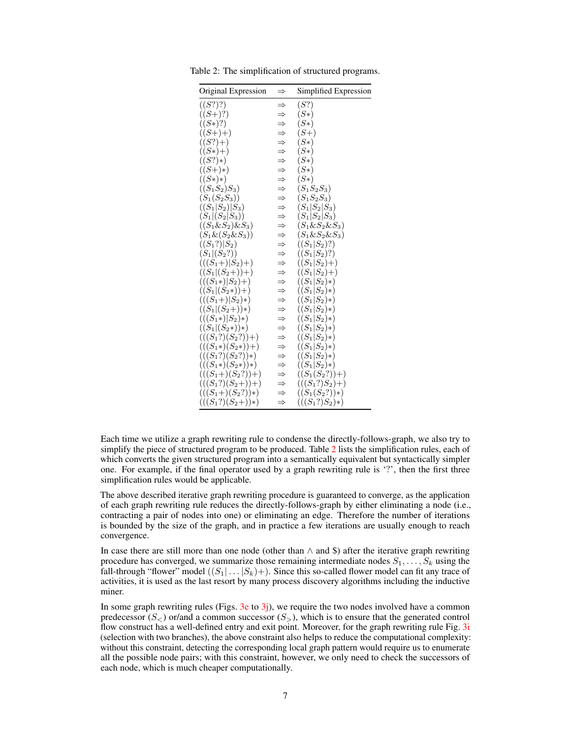| Original Expression     | $\Rightarrow$                                           | Simplified Expression |
|-------------------------|---------------------------------------------------------|-----------------------|
| ((S?)?)                 | $\Rightarrow$                                           | (S?)                  |
| $((S+)?)$               |                                                         | $(S*)$                |
| $((S*)?)$               |                                                         | $(S*)$                |
| $((S+)+)$               |                                                         | $(S+)$                |
| $((S?) + )$             | $\Rightarrow$                                           | $(S*)$                |
| $((S*)+)$               |                                                         | $(S*)$                |
| $((S?)*)$               | $\Rightarrow$ $\Rightarrow$ $\Rightarrow$ $\Rightarrow$ | $(S*)$                |
| $((S+)*)$               |                                                         | $(S*)$                |
| $((S*)*)$               |                                                         | $(S*)$                |
| $((S_1S_2)S_3)$         | $\Rightarrow$                                           | $(S_1S_2S_3)$         |
| $(S_1(S_2S_3))$         | $\Rightarrow$                                           | $(S_1S_2S_3)$         |
| $((S_1 S_2) S_3)$       | $\Rightarrow$                                           | $(S_1 S_2 S_3)$       |
| $(S_1 (S_2 S_3))$       | キサササナ                                                   | $(S_1 S_2 S_3)$       |
| $((S_1 \& S_2) \& S_3)$ |                                                         | $(S_1 \& S_2 \& S_3)$ |
| $(S_1 \& (S_2 \& S_3))$ |                                                         | $(S_1 \& S_2 \& S_3)$ |
| $((S_1?) S_2)$          |                                                         | $((S_1 S_2)?)$        |
| $(S_1 (S_2?))$          | $\Rightarrow$                                           | $((S_1 S_2)?)$        |
| $(((S_1+) S_2)+)$       | $\Rightarrow$                                           | $((S_1 S_2)+)$        |
| $((S_1 (S_2+)) + )$     | $\Rightarrow$                                           | $((S_1 S_2)+)$        |
| $(((S_1*) S_2)+)$       |                                                         | $((S_1 S_2)*)$        |
| $((S_1 (S_2*))+)$       |                                                         | $((S_1 S_2)*)$        |
| $(((S_1+) S_2)*)$       |                                                         | $((S_1 S_2)*)$        |
| $((S_1 (S_2+))*)$       |                                                         | $((S_1 S_2)*)$        |
| $(((S_1*) S_2)*)$       |                                                         | $((S_1 S_2)*)$        |
| $((S_1 (S_2*))*)$       | キャキキキキキ                                                 | $((S_1 S_2)*)$        |
| $(((S_1?)(S_2?))+)$     | $\Rightarrow$                                           | $((S_1 S_2)*)$        |
| $(((S_1*)(S_2*))$       | $\Rightarrow$                                           | $((S_1 S_2)*)$        |
| $(((S_1?)(S_2?))*$      | $\Rightarrow$                                           | $((S_1 S_2)*)$        |
| $(((S_1*)(S_2*))*)$     | $\Rightarrow$                                           | $((S_1 S_2)*)$        |
| $(((S_1+)(S_2?))+)$     | $\Rightarrow$                                           | $((S_1(S_2?))+)$      |
| $(((S_1?)(S_2+)) + )$   | $\Rightarrow$                                           | $(((S_1? )S_2)+ )$    |
| $(((S_1+)(S_2?))*)$     |                                                         | $((S_1(S_2?))*)$      |
| $(((S_1?)(S_2+))*)$     | $\Rightarrow$                                           | $(((S_1? )S_2)* )$    |

<span id="page-6-0"></span>Table 2: The simplification of structured programs.

Each time we utilize a graph rewriting rule to condense the directly-follows-graph, we also try to simplify the piece of structured program to be produced. Table [2](#page-6-0) lists the simplification rules, each of which converts the given structured program into a semantically equivalent but syntactically simpler one. For example, if the final operator used by a graph rewriting rule is '?', then the first three simplification rules would be applicable.

The above described iterative graph rewriting procedure is guaranteed to converge, as the application of each graph rewriting rule reduces the directly-follows-graph by either eliminating a node (i.e., contracting a pair of nodes into one) or eliminating an edge. Therefore the number of iterations is bounded by the size of the graph, and in practice a few iterations are usually enough to reach convergence.

In case there are still more than one node (other than ∧ and \$) after the iterative graph rewriting procedure has converged, we summarize those remaining intermediate nodes  $S_1, \ldots, S_k$  using the fall-through "flower" model  $((S_1 | ... | S_k) +)$ . Since this so-called flower model can fit any trace of activities, it is used as the last resort by many process discovery algorithms including the inductive miner.

In some graph rewriting rules (Figs.  $3e$  to  $3j$ ), we require the two nodes involved have a common predecessor  $(S_{\leq})$  or/and a common successor  $(S_{>})$ , which is to ensure that the generated control flow construct has a well-defined entry and exit point. Moreover, for the graph rewriting rule Fig. [3i](#page-5-0) (selection with two branches), the above constraint also helps to reduce the computational complexity: without this constraint, detecting the corresponding local graph pattern would require us to enumerate all the possible node pairs; with this constraint, however, we only need to check the successors of each node, which is much cheaper computationally.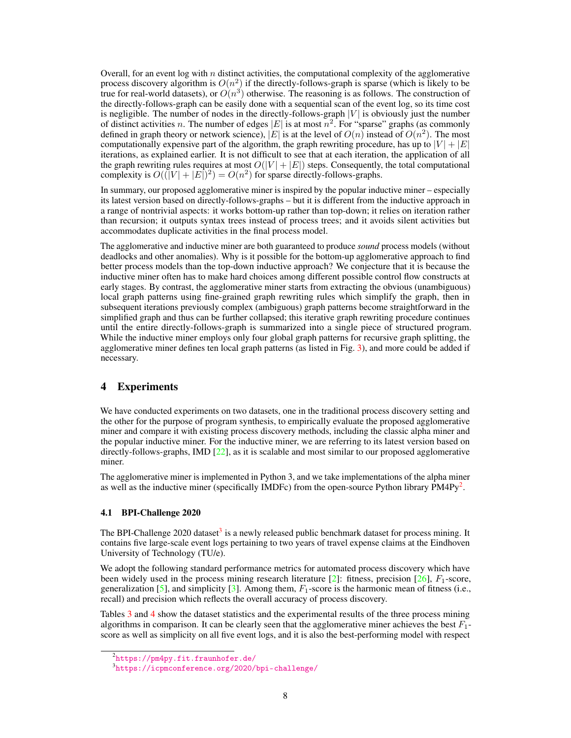Overall, for an event log with n distinct activities, the computational complexity of the agglomerative process discovery algorithm is  $O(n^2)$  if the directly-follows-graph is sparse (which is likely to be true for real-world datasets), or  $O(n^3)$  otherwise. The reasoning is as follows. The construction of the directly-follows-graph can be easily done with a sequential scan of the event log, so its time cost is negligible. The number of nodes in the directly-follows-graph  $|V|$  is obviously just the number of distinct activities n. The number of edges  $|E|$  is at most  $n^2$ . For "sparse" graphs (as commonly defined in graph theory or network science),  $|E|$  is at the level of  $O(n)$  instead of  $O(n^2)$ . The most computationally expensive part of the algorithm, the graph rewriting procedure, has up to  $|V| + |E|$ iterations, as explained earlier. It is not difficult to see that at each iteration, the application of all the graph rewriting rules requires at most  $O(|V| + |E|)$  steps. Consequently, the total computational complexity is  $O((|V| + |E|)^2) = O(n^2)$  for sparse directly-follows-graphs.

In summary, our proposed agglomerative miner is inspired by the popular inductive miner – especially its latest version based on directly-follows-graphs – but it is different from the inductive approach in a range of nontrivial aspects: it works bottom-up rather than top-down; it relies on iteration rather than recursion; it outputs syntax trees instead of process trees; and it avoids silent activities but accommodates duplicate activities in the final process model.

The agglomerative and inductive miner are both guaranteed to produce *sound* process models (without deadlocks and other anomalies). Why is it possible for the bottom-up agglomerative approach to find better process models than the top-down inductive approach? We conjecture that it is because the inductive miner often has to make hard choices among different possible control flow constructs at early stages. By contrast, the agglomerative miner starts from extracting the obvious (unambiguous) local graph patterns using fine-grained graph rewriting rules which simplify the graph, then in subsequent iterations previously complex (ambiguous) graph patterns become straightforward in the simplified graph and thus can be further collapsed; this iterative graph rewriting procedure continues until the entire directly-follows-graph is summarized into a single piece of structured program. While the inductive miner employs only four global graph patterns for recursive graph splitting, the agglomerative miner defines ten local graph patterns (as listed in Fig. [3\)](#page-5-0), and more could be added if necessary.

# 4 Experiments

We have conducted experiments on two datasets, one in the traditional process discovery setting and the other for the purpose of program synthesis, to empirically evaluate the proposed agglomerative miner and compare it with existing process discovery methods, including the classic alpha miner and the popular inductive miner. For the inductive miner, we are referring to its latest version based on directly-follows-graphs, IMD [\[22\]](#page-11-4), as it is scalable and most similar to our proposed agglomerative miner.

The agglomerative miner is implemented in Python 3, and we take implementations of the alpha miner as well as the inductive miner (specifically IMDFc) from the open-source Python library  $PMAPy^2$  $PMAPy^2$ .

#### 4.1 BPI-Challenge 2020

The BPI-Challenge 2020 dataset<sup>[3](#page-7-1)</sup> is a newly released public benchmark dataset for process mining. It contains five large-scale event logs pertaining to two years of travel expense claims at the Eindhoven University of Technology (TU/e).

We adopt the following standard performance metrics for automated process discovery which have been widely used in the process mining research literature  $[2]$ : fitness, precision  $[26]$ ,  $F_1$ -score, generalization  $[5]$ , and simplicity  $[3]$ . Among them,  $F_1$ -score is the harmonic mean of fitness (i.e., recall) and precision which reflects the overall accuracy of process discovery.

Tables [3](#page-8-0) and [4](#page-8-1) show the dataset statistics and the experimental results of the three process mining algorithms in comparison. It can be clearly seen that the agglomerative miner achieves the best  $F_1$ score as well as simplicity on all five event logs, and it is also the best-performing model with respect

<span id="page-7-0"></span><sup>2</sup> <https://pm4py.fit.fraunhofer.de/>

<span id="page-7-1"></span><sup>3</sup> <https://icpmconference.org/2020/bpi-challenge/>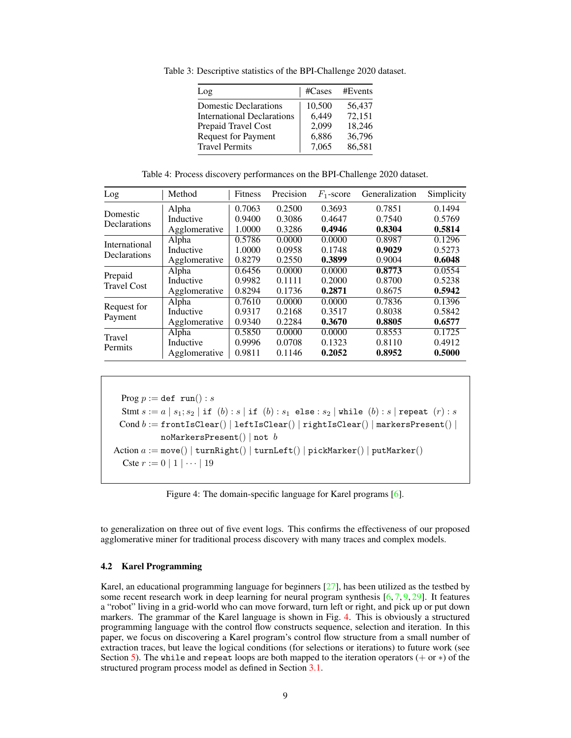| Log                               | #Cases | #Events |
|-----------------------------------|--------|---------|
| <b>Domestic Declarations</b>      | 10,500 | 56,437  |
| <b>International Declarations</b> | 6,449  | 72,151  |
| Prepaid Travel Cost               | 2,099  | 18,246  |
| <b>Request for Payment</b>        | 6,886  | 36,796  |
| <b>Travel Permits</b>             | 7,065  | 86,581  |

<span id="page-8-0"></span>Table 3: Descriptive statistics of the BPI-Challenge 2020 dataset.

Table 4: Process discovery performances on the BPI-Challenge 2020 dataset.

<span id="page-8-1"></span>

| Log                | Method        | Fitness | Precision | $F_1$ -score | Generalization | Simplicity |
|--------------------|---------------|---------|-----------|--------------|----------------|------------|
| Domestic           | Alpha         | 0.7063  | 0.2500    | 0.3693       | 0.7851         | 0.1494     |
| Declarations       | Inductive     | 0.9400  | 0.3086    | 0.4647       | 0.7540         | 0.5769     |
|                    | Agglomerative | 1.0000  | 0.3286    | 0.4946       | 0.8304         | 0.5814     |
| International      | Alpha         | 0.5786  | 0.0000    | 0.0000       | 0.8987         | 0.1296     |
|                    | Inductive     | 1.0000  | 0.0958    | 0.1748       | 0.9029         | 0.5273     |
| Declarations       | Agglomerative | 0.8279  | 0.2550    | 0.3899       | 0.9004         | 0.6048     |
|                    | Alpha         | 0.6456  | 0.0000    | 0.0000       | 0.8773         | 0.0554     |
| Prepaid            | Inductive     | 0.9982  | 0.1111    | 0.2000       | 0.8700         | 0.5238     |
| <b>Travel Cost</b> | Agglomerative | 0.8294  | 0.1736    | 0.2871       | 0.8675         | 0.5942     |
| Request for        | Alpha         | 0.7610  | 0.0000    | 0.0000       | 0.7836         | 0.1396     |
|                    | Inductive     | 0.9317  | 0.2168    | 0.3517       | 0.8038         | 0.5842     |
| Payment            | Agglomerative | 0.9340  | 0.2284    | 0.3670       | 0.8805         | 0.6577     |
| Travel             | Alpha         | 0.5850  | 0.0000    | 0.0000       | 0.8553         | 0.1725     |
|                    | Inductive     | 0.9996  | 0.0708    | 0.1323       | 0.8110         | 0.4912     |
| Permits            | Agglomerative | 0.9811  | 0.1146    | 0.2052       | 0.8952         | 0.5000     |

```
Prog p := \text{def run}() : sStmt s := a | s_1; s_2 | if (b) : s | if (b) : s_1 else : s_2 | while (b) : s | repeat (r) : sCond b := frontIsClear() | leftIsClear() | rightIsClear() | markersPresent() |
            noMarkersPresent() | not b
Action a := move() | turnRight() | turnLeft() | pickMarket() | putMarket()Cste r := 0 | 1 | \cdots | 19
```
Figure 4: The domain-specific language for Karel programs [\[6\]](#page-11-7).

to generalization on three out of five event logs. This confirms the effectiveness of our proposed agglomerative miner for traditional process discovery with many traces and complex models.

#### <span id="page-8-3"></span>4.2 Karel Programming

Karel, an educational programming language for beginners [\[27\]](#page-12-7), has been utilized as the testbed by some recent research work in deep learning for neural program synthesis  $[6, 7, 9, 29]$  $[6, 7, 9, 29]$  $[6, 7, 9, 29]$  $[6, 7, 9, 29]$  $[6, 7, 9, 29]$  $[6, 7, 9, 29]$  $[6, 7, 9, 29]$ . It features a "robot" living in a grid-world who can move forward, turn left or right, and pick up or put down markers. The grammar of the Karel language is shown in Fig. [4.](#page-8-2) This is obviously a structured programming language with the control flow constructs sequence, selection and iteration. In this paper, we focus on discovering a Karel program's control flow structure from a small number of extraction traces, but leave the logical conditions (for selections or iterations) to future work (see Section [5\)](#page-10-0). The while and repeat loops are both mapped to the iteration operators  $( + or *)$  of the structured program process model as defined in Section [3.1.](#page-2-0)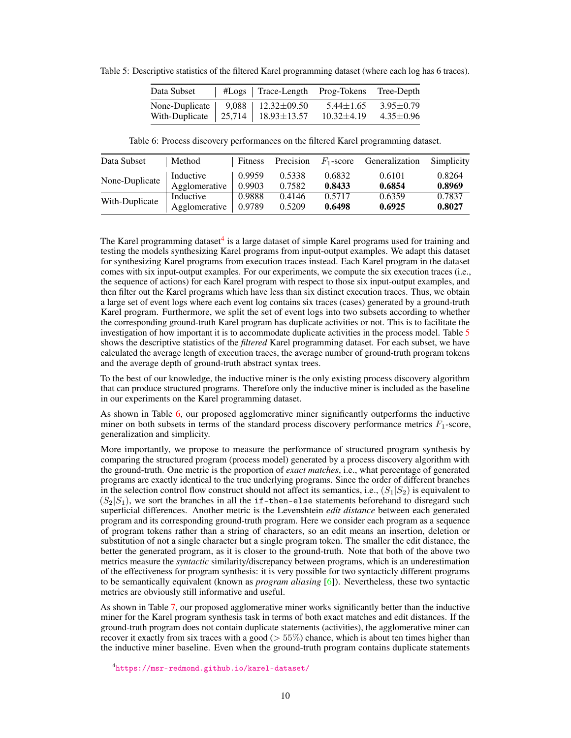| Data Subset    | #Logs   Trace-Length Prog-Tokens |                 | Tree-Depth      |
|----------------|----------------------------------|-----------------|-----------------|
| None-Duplicate | $9,088$   12.32 $\pm$ 09.50      | $5.44 \pm 1.65$ | $3.95 \pm 0.79$ |
| With-Duplicate | 25,714   18.93 $\pm$ 13.57       | $10.32\pm4.19$  | $4.35 \pm 0.96$ |

<span id="page-9-1"></span>Table 5: Descriptive statistics of the filtered Karel programming dataset (where each log has 6 traces).

Table 6: Process discovery performances on the filtered Karel programming dataset.

<span id="page-9-2"></span>

| Data Subset    | Method        | Fitness | Precision | $F_1$ -score | Generalization | Simplicity |
|----------------|---------------|---------|-----------|--------------|----------------|------------|
| None-Duplicate | Inductive     | 0.9959  | 0.5338    | 0.6832       | 0.6101         | 0.8264     |
|                | Agglomerative | 0.9903  | 0.7582    | 0.8433       | 0.6854         | 0.8969     |
| With-Duplicate | Inductive     | 0.9888  | 0.4146    | 0.5717       | 0.6359         | 0.7837     |
|                | Agglomerative | 0.9789  | 0.5209    | 0.6498       | 0.6925         | 0.8027     |

The Karel programming dataset<sup>[4](#page-9-0)</sup> is a large dataset of simple Karel programs used for training and testing the models synthesizing Karel programs from input-output examples. We adapt this dataset for synthesizing Karel programs from execution traces instead. Each Karel program in the dataset comes with six input-output examples. For our experiments, we compute the six execution traces (i.e., the sequence of actions) for each Karel program with respect to those six input-output examples, and then filter out the Karel programs which have less than six distinct execution traces. Thus, we obtain a large set of event logs where each event log contains six traces (cases) generated by a ground-truth Karel program. Furthermore, we split the set of event logs into two subsets according to whether the corresponding ground-truth Karel program has duplicate activities or not. This is to facilitate the investigation of how important it is to accommodate duplicate activities in the process model. Table [5](#page-9-1) shows the descriptive statistics of the *filtered* Karel programming dataset. For each subset, we have calculated the average length of execution traces, the average number of ground-truth program tokens and the average depth of ground-truth abstract syntax trees.

To the best of our knowledge, the inductive miner is the only existing process discovery algorithm that can produce structured programs. Therefore only the inductive miner is included as the baseline in our experiments on the Karel programming dataset.

As shown in Table [6,](#page-9-2) our proposed agglomerative miner significantly outperforms the inductive miner on both subsets in terms of the standard process discovery performance metrics  $F_1$ -score, generalization and simplicity.

More importantly, we propose to measure the performance of structured program synthesis by comparing the structured program (process model) generated by a process discovery algorithm with the ground-truth. One metric is the proportion of *exact matches*, i.e., what percentage of generated programs are exactly identical to the true underlying programs. Since the order of different branches in the selection control flow construct should not affect its semantics, i.e.,  $(S_1|S_2)$  is equivalent to  $(S_2|S_1)$ , we sort the branches in all the if-then-else statements beforehand to disregard such superficial differences. Another metric is the Levenshtein *edit distance* between each generated program and its corresponding ground-truth program. Here we consider each program as a sequence of program tokens rather than a string of characters, so an edit means an insertion, deletion or substitution of not a single character but a single program token. The smaller the edit distance, the better the generated program, as it is closer to the ground-truth. Note that both of the above two metrics measure the *syntactic* similarity/discrepancy between programs, which is an underestimation of the effectiveness for program synthesis: it is very possible for two syntacticly different programs to be semantically equivalent (known as *program aliasing* [\[6\]](#page-11-7)). Nevertheless, these two syntactic metrics are obviously still informative and useful.

As shown in Table [7,](#page-10-1) our proposed agglomerative miner works significantly better than the inductive miner for the Karel program synthesis task in terms of both exact matches and edit distances. If the ground-truth program does not contain duplicate statements (activities), the agglomerative miner can recover it exactly from six traces with a good ( $> 55\%$ ) chance, which is about ten times higher than the inductive miner baseline. Even when the ground-truth program contains duplicate statements

<span id="page-9-0"></span><sup>4</sup> <https://msr-redmond.github.io/karel-dataset/>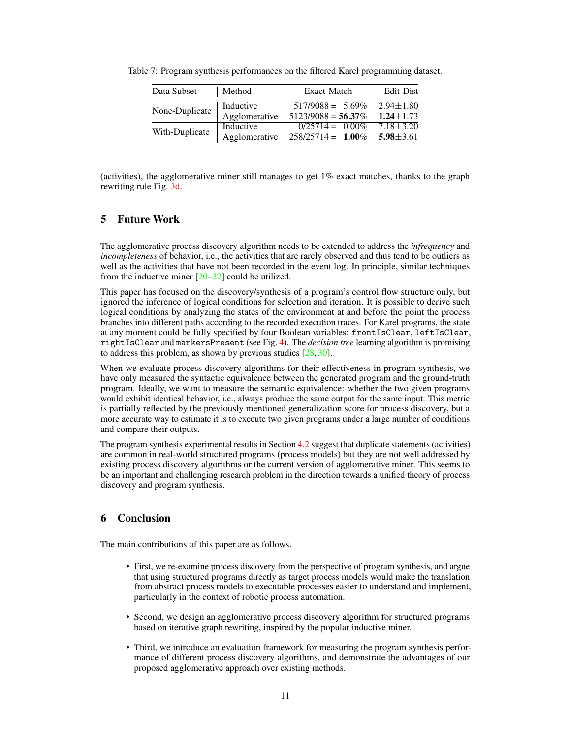| Data Subset    | Method        | Exact-Match                   | Edit-Dist       |
|----------------|---------------|-------------------------------|-----------------|
| None-Duplicate | Inductive     | $517/9088 = 5.69\%$           | $2.94 \pm 1.80$ |
|                | Agglomerative | $5123/9088 = 56.37\%$         | $1.24 + 1.73$   |
| With-Duplicate | Inductive     | $\overline{0/25714} = 0.00\%$ | $7.18 + 3.20$   |
|                | Agglomerative | $258/25714 = 1.00\%$          | $5.98 \pm 3.61$ |

<span id="page-10-1"></span>Table 7: Program synthesis performances on the filtered Karel programming dataset.

(activities), the agglomerative miner still manages to get  $1\%$  exact matches, thanks to the graph rewriting rule Fig. [3d.](#page-5-0)

## <span id="page-10-0"></span>5 Future Work

The agglomerative process discovery algorithm needs to be extended to address the *infrequency* and *incompleteness* of behavior, i.e., the activities that are rarely observed and thus tend to be outliers as well as the activities that have not been recorded in the event log. In principle, similar techniques from the inductive miner  $[20-22]$  $[20-22]$  could be utilized.

This paper has focused on the discovery/synthesis of a program's control flow structure only, but ignored the inference of logical conditions for selection and iteration. It is possible to derive such logical conditions by analyzing the states of the environment at and before the point the process branches into different paths according to the recorded execution traces. For Karel programs, the state at any moment could be fully specified by four Boolean variables: frontIsClear, leftIsClear, rightIsClear and markersPresent (see Fig. [4\)](#page-8-2). The *decision tree* learning algorithm is promising to address this problem, as shown by previous studies [\[28,](#page-12-10) [30\]](#page-12-11).

When we evaluate process discovery algorithms for their effectiveness in program synthesis, we have only measured the syntactic equivalence between the generated program and the ground-truth program. Ideally, we want to measure the semantic equivalence: whether the two given programs would exhibit identical behavior, i.e., always produce the same output for the same input. This metric is partially reflected by the previously mentioned generalization score for process discovery, but a more accurate way to estimate it is to execute two given programs under a large number of conditions and compare their outputs.

The program synthesis experimental results in Section [4.2](#page-8-3) suggest that duplicate statements (activities) are common in real-world structured programs (process models) but they are not well addressed by existing process discovery algorithms or the current version of agglomerative miner. This seems to be an important and challenging research problem in the direction towards a unified theory of process discovery and program synthesis.

# 6 Conclusion

The main contributions of this paper are as follows.

- First, we re-examine process discovery from the perspective of program synthesis, and argue that using structured programs directly as target process models would make the translation from abstract process models to executable processes easier to understand and implement, particularly in the context of robotic process automation.
- Second, we design an agglomerative process discovery algorithm for structured programs based on iterative graph rewriting, inspired by the popular inductive miner.
- Third, we introduce an evaluation framework for measuring the program synthesis performance of different process discovery algorithms, and demonstrate the advantages of our proposed agglomerative approach over existing methods.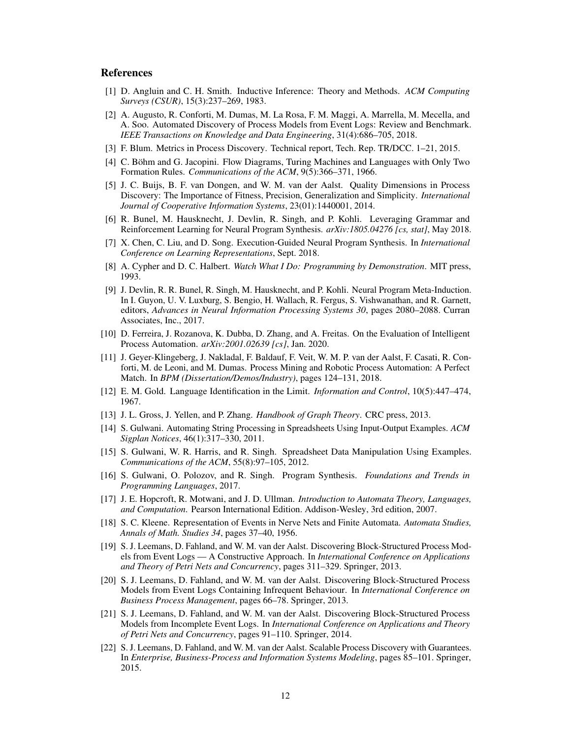## References

- <span id="page-11-15"></span>[1] D. Angluin and C. H. Smith. Inductive Inference: Theory and Methods. *ACM Computing Surveys (CSUR)*, 15(3):237–269, 1983.
- <span id="page-11-10"></span>[2] A. Augusto, R. Conforti, M. Dumas, M. La Rosa, F. M. Maggi, A. Marrella, M. Mecella, and A. Soo. Automated Discovery of Process Models from Event Logs: Review and Benchmark. *IEEE Transactions on Knowledge and Data Engineering*, 31(4):686–705, 2018.
- <span id="page-11-20"></span>[3] F. Blum. Metrics in Process Discovery. Technical report, Tech. Rep. TR/DCC. 1–21, 2015.
- <span id="page-11-2"></span>[4] C. Böhm and G. Jacopini. Flow Diagrams, Turing Machines and Languages with Only Two Formation Rules. *Communications of the ACM*, 9(5):366–371, 1966.
- <span id="page-11-19"></span>[5] J. C. Buijs, B. F. van Dongen, and W. M. van der Aalst. Quality Dimensions in Process Discovery: The Importance of Fitness, Precision, Generalization and Simplicity. *International Journal of Cooperative Information Systems*, 23(01):1440001, 2014.
- <span id="page-11-7"></span>[6] R. Bunel, M. Hausknecht, J. Devlin, R. Singh, and P. Kohli. Leveraging Grammar and Reinforcement Learning for Neural Program Synthesis. *arXiv:1805.04276 [cs, stat]*, May 2018.
- <span id="page-11-8"></span>[7] X. Chen, C. Liu, and D. Song. Execution-Guided Neural Program Synthesis. In *International Conference on Learning Representations*, Sept. 2018.
- <span id="page-11-6"></span>[8] A. Cypher and D. C. Halbert. *Watch What I Do: Programming by Demonstration*. MIT press, 1993.
- <span id="page-11-9"></span>[9] J. Devlin, R. R. Bunel, R. Singh, M. Hausknecht, and P. Kohli. Neural Program Meta-Induction. In I. Guyon, U. V. Luxburg, S. Bengio, H. Wallach, R. Fergus, S. Vishwanathan, and R. Garnett, editors, *Advances in Neural Information Processing Systems 30*, pages 2080–2088. Curran Associates, Inc., 2017.
- <span id="page-11-0"></span>[10] D. Ferreira, J. Rozanova, K. Dubba, D. Zhang, and A. Freitas. On the Evaluation of Intelligent Process Automation. *arXiv:2001.02639 [cs]*, Jan. 2020.
- <span id="page-11-1"></span>[11] J. Geyer-Klingeberg, J. Nakladal, F. Baldauf, F. Veit, W. M. P. van der Aalst, F. Casati, R. Conforti, M. de Leoni, and M. Dumas. Process Mining and Robotic Process Automation: A Perfect Match. In *BPM (Dissertation/Demos/Industry)*, pages 124–131, 2018.
- <span id="page-11-14"></span>[12] E. M. Gold. Language Identification in the Limit. *Information and Control*, 10(5):447–474, 1967.
- <span id="page-11-16"></span>[13] J. L. Gross, J. Yellen, and P. Zhang. *Handbook of Graph Theory*. CRC press, 2013.
- <span id="page-11-12"></span>[14] S. Gulwani. Automating String Processing in Spreadsheets Using Input-Output Examples. *ACM Sigplan Notices*, 46(1):317–330, 2011.
- <span id="page-11-13"></span>[15] S. Gulwani, W. R. Harris, and R. Singh. Spreadsheet Data Manipulation Using Examples. *Communications of the ACM*, 55(8):97–105, 2012.
- <span id="page-11-5"></span>[16] S. Gulwani, O. Polozov, and R. Singh. Program Synthesis. *Foundations and Trends in Programming Languages*, 2017.
- <span id="page-11-17"></span>[17] J. E. Hopcroft, R. Motwani, and J. D. Ullman. *Introduction to Automata Theory, Languages, and Computation*. Pearson International Edition. Addison-Wesley, 3rd edition, 2007.
- <span id="page-11-18"></span>[18] S. C. Kleene. Representation of Events in Nerve Nets and Finite Automata. *Automata Studies, Annals of Math. Studies 34*, pages 37–40, 1956.
- <span id="page-11-3"></span>[19] S. J. Leemans, D. Fahland, and W. M. van der Aalst. Discovering Block-Structured Process Models from Event Logs — A Constructive Approach. In *International Conference on Applications and Theory of Petri Nets and Concurrency*, pages 311–329. Springer, 2013.
- <span id="page-11-21"></span>[20] S. J. Leemans, D. Fahland, and W. M. van der Aalst. Discovering Block-Structured Process Models from Event Logs Containing Infrequent Behaviour. In *International Conference on Business Process Management*, pages 66–78. Springer, 2013.
- <span id="page-11-11"></span>[21] S. J. Leemans, D. Fahland, and W. M. van der Aalst. Discovering Block-Structured Process Models from Incomplete Event Logs. In *International Conference on Applications and Theory of Petri Nets and Concurrency*, pages 91–110. Springer, 2014.
- <span id="page-11-4"></span>[22] S. J. Leemans, D. Fahland, and W. M. van der Aalst. Scalable Process Discovery with Guarantees. In *Enterprise, Business-Process and Information Systems Modeling*, pages 85–101. Springer, 2015.